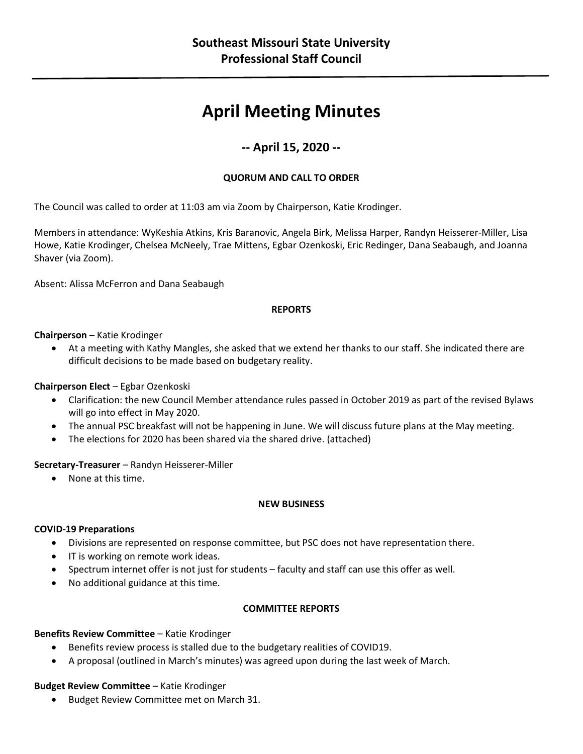# **April Meeting Minutes**

# **-- April 15, 2020 --**

### **QUORUM AND CALL TO ORDER**

The Council was called to order at 11:03 am via Zoom by Chairperson, Katie Krodinger.

Members in attendance: WyKeshia Atkins, Kris Baranovic, Angela Birk, Melissa Harper, Randyn Heisserer-Miller, Lisa Howe, Katie Krodinger, Chelsea McNeely, Trae Mittens, Egbar Ozenkoski, Eric Redinger, Dana Seabaugh, and Joanna Shaver (via Zoom).

Absent: Alissa McFerron and Dana Seabaugh

#### **REPORTS**

#### **Chairperson** – Katie Krodinger

• At a meeting with Kathy Mangles, she asked that we extend her thanks to our staff. She indicated there are difficult decisions to be made based on budgetary reality.

#### **Chairperson Elect** – Egbar Ozenkoski

- Clarification: the new Council Member attendance rules passed in October 2019 as part of the revised Bylaws will go into effect in May 2020.
- The annual PSC breakfast will not be happening in June. We will discuss future plans at the May meeting.
- The elections for 2020 has been shared via the shared drive. (attached)

**Secretary-Treasurer** – Randyn Heisserer-Miller

• None at this time.

#### **NEW BUSINESS**

#### **COVID-19 Preparations**

- Divisions are represented on response committee, but PSC does not have representation there.
- IT is working on remote work ideas.
- Spectrum internet offer is not just for students faculty and staff can use this offer as well.
- No additional guidance at this time.

#### **COMMITTEE REPORTS**

#### **Benefits Review Committee** – Katie Krodinger

- Benefits review process is stalled due to the budgetary realities of COVID19.
- A proposal (outlined in March's minutes) was agreed upon during the last week of March.

#### **Budget Review Committee** – Katie Krodinger

• Budget Review Committee met on March 31.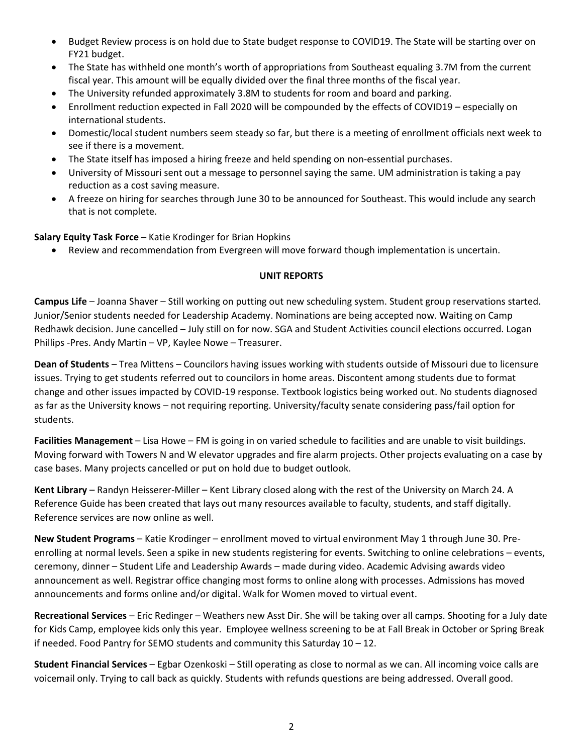- Budget Review process is on hold due to State budget response to COVID19. The State will be starting over on FY21 budget.
- The State has withheld one month's worth of appropriations from Southeast equaling 3.7M from the current fiscal year. This amount will be equally divided over the final three months of the fiscal year.
- The University refunded approximately 3.8M to students for room and board and parking.
- Enrollment reduction expected in Fall 2020 will be compounded by the effects of COVID19 especially on international students.
- Domestic/local student numbers seem steady so far, but there is a meeting of enrollment officials next week to see if there is a movement.
- The State itself has imposed a hiring freeze and held spending on non-essential purchases.
- University of Missouri sent out a message to personnel saying the same. UM administration is taking a pay reduction as a cost saving measure.
- A freeze on hiring for searches through June 30 to be announced for Southeast. This would include any search that is not complete.

#### **Salary Equity Task Force** – Katie Krodinger for Brian Hopkins

• Review and recommendation from Evergreen will move forward though implementation is uncertain.

#### **UNIT REPORTS**

**Campus Life** – Joanna Shaver – Still working on putting out new scheduling system. Student group reservations started. Junior/Senior students needed for Leadership Academy. Nominations are being accepted now. Waiting on Camp Redhawk decision. June cancelled – July still on for now. SGA and Student Activities council elections occurred. Logan Phillips -Pres. Andy Martin – VP, Kaylee Nowe – Treasurer.

**Dean of Students** – Trea Mittens – Councilors having issues working with students outside of Missouri due to licensure issues. Trying to get students referred out to councilors in home areas. Discontent among students due to format change and other issues impacted by COVID-19 response. Textbook logistics being worked out. No students diagnosed as far as the University knows – not requiring reporting. University/faculty senate considering pass/fail option for students.

**Facilities Management** – Lisa Howe – FM is going in on varied schedule to facilities and are unable to visit buildings. Moving forward with Towers N and W elevator upgrades and fire alarm projects. Other projects evaluating on a case by case bases. Many projects cancelled or put on hold due to budget outlook.

**Kent Library** – Randyn Heisserer-Miller – Kent Library closed along with the rest of the University on March 24. A Reference Guide has been created that lays out many resources available to faculty, students, and staff digitally. Reference services are now online as well.

**New Student Programs** – Katie Krodinger – enrollment moved to virtual environment May 1 through June 30. Preenrolling at normal levels. Seen a spike in new students registering for events. Switching to online celebrations – events, ceremony, dinner – Student Life and Leadership Awards – made during video. Academic Advising awards video announcement as well. Registrar office changing most forms to online along with processes. Admissions has moved announcements and forms online and/or digital. Walk for Women moved to virtual event.

**Recreational Services** – Eric Redinger – Weathers new Asst Dir. She will be taking over all camps. Shooting for a July date for Kids Camp, employee kids only this year. Employee wellness screening to be at Fall Break in October or Spring Break if needed. Food Pantry for SEMO students and community this Saturday 10 – 12.

**Student Financial Services** – Egbar Ozenkoski – Still operating as close to normal as we can. All incoming voice calls are voicemail only. Trying to call back as quickly. Students with refunds questions are being addressed. Overall good.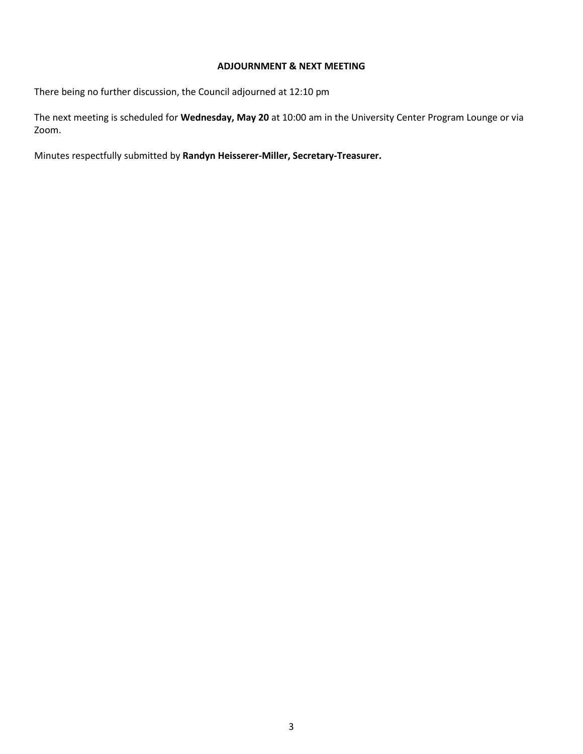#### **ADJOURNMENT & NEXT MEETING**

There being no further discussion, the Council adjourned at 12:10 pm

The next meeting is scheduled for **Wednesday, May 20** at 10:00 am in the University Center Program Lounge or via Zoom.

Minutes respectfully submitted by **Randyn Heisserer-Miller, Secretary-Treasurer.**